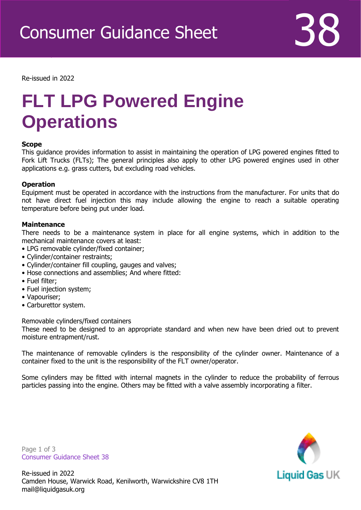

Re-issued in 2022

Revised April 2016

# **FLT LPG Powered Engine Operations**

## **Scope**

This guidance provides information to assist in maintaining the operation of LPG powered engines fitted to Fork Lift Trucks (FLTs); The general principles also apply to other LPG powered engines used in other applications e.g. grass cutters, but excluding road vehicles.

#### **Operation**

Equipment must be operated in accordance with the instructions from the manufacturer. For units that do not have direct fuel injection this may include allowing the engine to reach a suitable operating temperature before being put under load.

#### **Maintenance**

There needs to be a maintenance system in place for all engine systems, which in addition to the mechanical maintenance covers at least:

- LPG removable cylinder/fixed container;
- Cylinder/container restraints;
- Cylinder/container fill coupling, gauges and valves;
- Hose connections and assemblies; And where fitted:
- Fuel filter;
- Fuel injection system;
- Vapouriser;
- Carburettor system.

Removable cylinders/fixed containers

These need to be designed to an appropriate standard and when new have been dried out to prevent moisture entrapment/rust.

The maintenance of removable cylinders is the responsibility of the cylinder owner. Maintenance of a container fixed to the unit is the responsibility of the FLT owner/operator.

Some cylinders may be fitted with internal magnets in the cylinder to reduce the probability of ferrous particles passing into the engine. Others may be fitted with a valve assembly incorporating a filter.

Page 1 of 3 Consumer Guidance Sheet 38

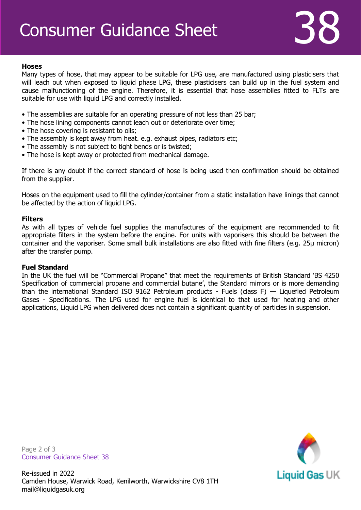# **Hoses**

Many types of hose, that may appear to be suitable for LPG use, are manufactured using plasticisers that will leach out when exposed to liquid phase LPG, these plasticisers can build up in the fuel system and cause malfunctioning of the engine. Therefore, it is essential that hose assemblies fitted to FLTs are suitable for use with liquid LPG and correctly installed.

- The assemblies are suitable for an operating pressure of not less than 25 bar;
- The hose lining components cannot leach out or deteriorate over time;
- The hose covering is resistant to oils;
- The assembly is kept away from heat. e.g. exhaust pipes, radiators etc;
- The assembly is not subject to tight bends or is twisted;
- The hose is kept away or protected from mechanical damage.

If there is any doubt if the correct standard of hose is being used then confirmation should be obtained from the supplier.

Hoses on the equipment used to fill the cylinder/container from a static installation have linings that cannot be affected by the action of liquid LPG.

# **Filters**

As with all types of vehicle fuel supplies the manufactures of the equipment are recommended to fit appropriate filters in the system before the engine. For units with vaporisers this should be between the container and the vaporiser. Some small bulk installations are also fitted with fine filters (e.g. 25μ micron) after the transfer pump.

## **Fuel Standard**

In the UK the fuel will be "Commercial Propane" that meet the requirements of British Standard 'BS 4250 Specification of commercial propane and commercial butane', the Standard mirrors or is more demanding than the international Standard ISO 9162 Petroleum products - Fuels (class F) — Liquefied Petroleum Gases - Specifications. The LPG used for engine fuel is identical to that used for heating and other applications, Liquid LPG when delivered does not contain a significant quantity of particles in suspension.

Page 2 of 3 Consumer Guidance Sheet 38